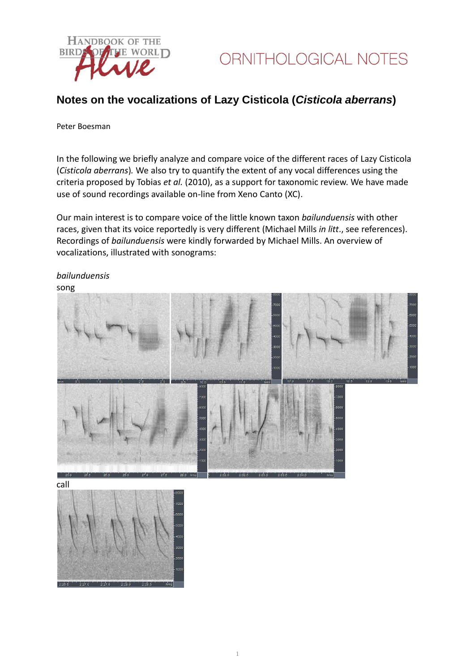

### **Notes on the vocalizations of Lazy Cisticola (***Cisticola aberrans***)**

#### Peter Boesman

In the following we briefly analyze and compare voice of the different races of Lazy Cisticola (*Cisticola aberrans*)*.* We also try to quantify the extent of any vocal differences using the criteria proposed by Tobias *et al.* (2010), as a support for taxonomic review. We have made use of sound recordings available on-line from Xeno Canto (XC).

Our main interest is to compare voice of the little known taxon *bailunduensis* with other races, given that its voice reportedly is very different (Michael Mills *in litt*., see references). Recordings of *bailunduensis* were kindly forwarded by Michael Mills. An overview of vocalizations, illustrated with sonograms:

### *bailunduensis*

song



call

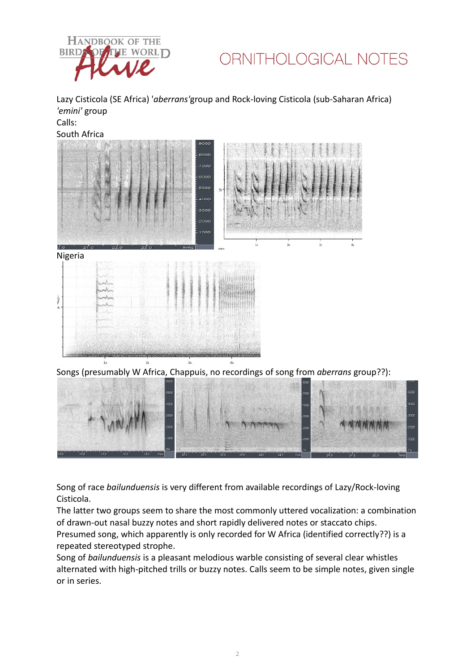

## ORNITHOLOGICAL NOTES

Lazy Cisticola (SE Africa) '*aberrans'*group and Rock-loving Cisticola (sub-Saharan Africa) *'emini'* group Calls:

South Africa



Nigeria

Songs (presumably W Africa, Chappuis, no recordings of song from *aberrans* group??):



Song of race *bailunduensis* is very different from available recordings of Lazy/Rock-loving Cisticola.

The latter two groups seem to share the most commonly uttered vocalization: a combination of drawn-out nasal buzzy notes and short rapidly delivered notes or staccato chips. Presumed song, which apparently is only recorded for W Africa (identified correctly??) is a repeated stereotyped strophe.

Song of *bailunduensis* is a pleasant melodious warble consisting of several clear whistles alternated with high-pitched trills or buzzy notes. Calls seem to be simple notes, given single or in series.